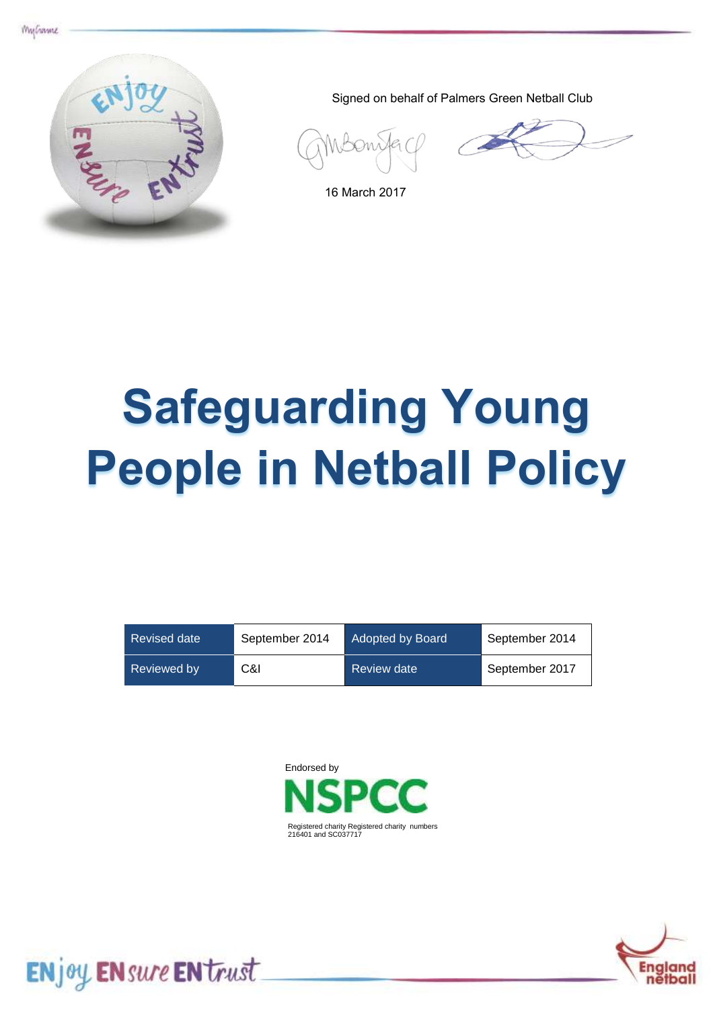



Signed on behalf of Palmers Green Netball Club

16 March 2017

# **Safeguarding Young People in Netball Policy**

| <b>Revised date</b> | September 2014 | Adopted by Board | September 2014 |
|---------------------|----------------|------------------|----------------|
| Reviewed by         | C&I            | Review date      | September 2017 |





ENjoy ENsure ENtrust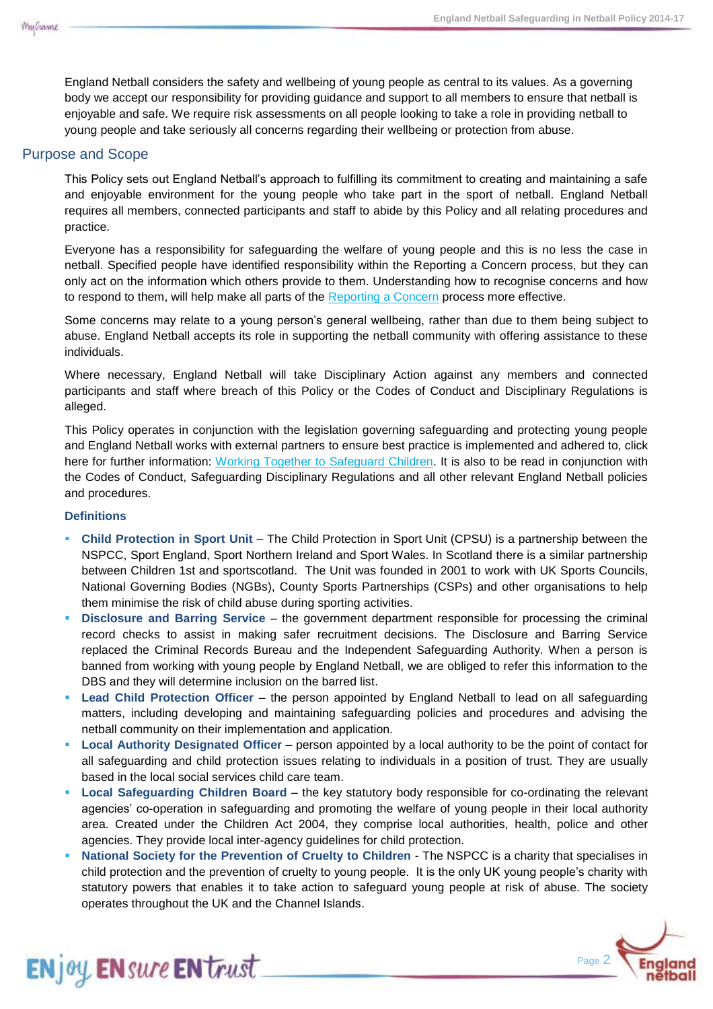England Netball considers the safety and wellbeing of young people as central to its values. As a governing body we accept our responsibility for providing guidance and support to all members to ensure that netball is enjoyable and safe. We require risk assessments on all people looking to take a role in providing netball to young people and take seriously all concerns regarding their wellbeing or protection from abuse.

# Purpose and Scope

This Policy sets out England Netball's approach to fulfilling its commitment to creating and maintaining a safe and enjoyable environment for the young people who take part in the sport of netball. England Netball requires all members, connected participants and staff to abide by this Policy and all relating procedures and practice.

Everyone has a responsibility for safeguarding the welfare of young people and this is no less the case in netball. Specified people have identified responsibility within the Reporting a Concern process, but they can only act on the information which others provide to them. Understanding how to recognise concerns and how to respond to them, will help make all parts of the [Reporting a Concern](file://fileserver2k8/mainstore/Commercial/Olivia/ENjoy,%20ENsure,%20ENtrust/ENjoy_ENsure_Entrust/Safeguarding/Reporting%20a%20Concern%20Procedure.docx) process more effective.

Some concerns may relate to a young person's general wellbeing, rather than due to them being subject to abuse. England Netball accepts its role in supporting the netball community with offering assistance to these individuals.

Where necessary, England Netball will take Disciplinary Action against any members and connected participants and staff where breach of this Policy or the Codes of Conduct and Disciplinary Regulations is alleged.

This Policy operates in conjunction with the legislation governing safeguarding and protecting young people and England Netball works with external partners to ensure best practice is implemented and adhered to, click here for further information: [Working Together to Safeguard Children.](http://www.workingtogetheronline.co.uk/index.html) It is also to be read in conjunction with the Codes of Conduct, Safeguarding Disciplinary Regulations and all other relevant England Netball policies and procedures.

## **Definitions**

**ENjoy ENsure EN trust** 

- **Child Protection in Sport Unit** The Child Protection in Sport Unit (CPSU) is a partnership between the NSPCC, Sport England, Sport Northern Ireland and Sport Wales. In Scotland there is a similar partnership between Children 1st and sportscotland. The Unit was founded in 2001 to work with UK Sports Councils, National Governing Bodies (NGBs), County Sports Partnerships (CSPs) and other organisations to help them minimise the risk of child abuse during sporting activities.
- **Disclosure and Barring Service** the government department responsible for processing the criminal record checks to assist in making safer recruitment decisions. The Disclosure and Barring Service replaced the Criminal Records Bureau and the Independent Safeguarding Authority. When a person is banned from working with young people by England Netball, we are obliged to refer this information to the DBS and they will determine inclusion on the barred list.
- **Lead Child Protection Officer** the person appointed by England Netball to lead on all safeguarding matters, including developing and maintaining safeguarding policies and procedures and advising the netball community on their implementation and application.
- **Local Authority Designated Officer** person appointed by a local authority to be the point of contact for all safeguarding and child protection issues relating to individuals in a position of trust. They are usually based in the local social services child care team.
- **Local Safeguarding Children Board** the key statutory body responsible for co-ordinating the relevant agencies' co-operation in safeguarding and promoting the welfare of young people in their local authority area. Created under the Children Act 2004, they comprise local authorities, health, police and other agencies. They provide local inter-agency guidelines for child protection.
- **National Society for the Prevention of Cruelty to Children** The NSPCC is a charity that specialises in child protection and the prevention of cruelty to young people. It is the only UK young people's charity with statutory powers that enables it to take action to safeguard young people at risk of abuse. The society operates throughout the UK and the Channel Islands.

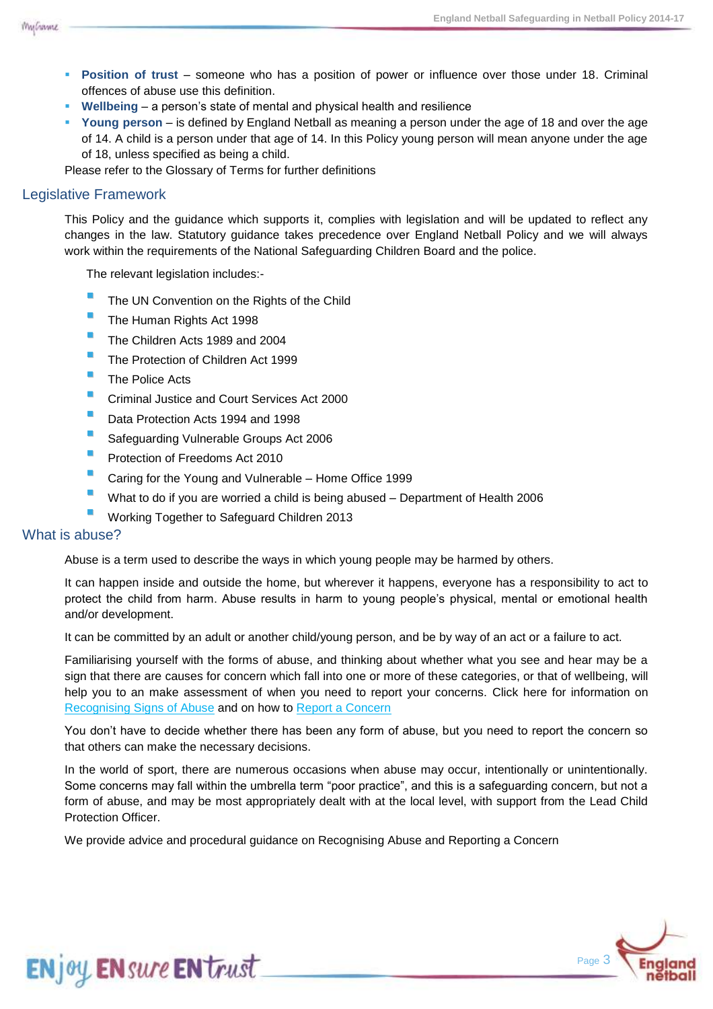

- **Position of trust** someone who has a position of power or influence over those under 18. Criminal offences of abuse use this definition.
- **Wellbeing** a person's state of mental and physical health and resilience
- **Young person** is defined by England Netball as meaning a person under the age of 18 and over the age of 14. A child is a person under that age of 14. In this Policy young person will mean anyone under the age of 18, unless specified as being a child.

Please refer to the Glossary of Terms for further definitions

# Legislative Framework

This Policy and the guidance which supports it, complies with legislation and will be updated to reflect any changes in the law. Statutory guidance takes precedence over England Netball Policy and we will always work within the requirements of the National Safeguarding Children Board and the police.

The relevant legislation includes:-

- The UN Convention on the Rights of the Child
- The Human Rights Act 1998
- The Children Acts 1989 and 2004
- The Protection of Children Act 1999
- **The Police Acts**
- **Criminal Justice and Court Services Act 2000**
- **Data Protection Acts 1994 and 1998**
- Safeguarding Vulnerable Groups Act 2006
- Protection of Freedoms Act 2010
- **Caring for the Young and Vulnerable Home Office 1999**
- What to do if you are worried a child is being abused Department of Health 2006
- Working Together to Safeguard Children 2013

#### What is abuse?

Abuse is a term used to describe the ways in which young people may be harmed by others.

It can happen inside and outside the home, but wherever it happens, everyone has a responsibility to act to protect the child from harm. Abuse results in harm to young people's physical, mental or emotional health and/or development.

It can be committed by an adult or another child/young person, and be by way of an act or a failure to act.

Familiarising yourself with the forms of abuse, and thinking about whether what you see and hear may be a sign that there are causes for concern which fall into one or more of these categories, or that of wellbeing, will help you to an make assessment of when you need to report your concerns. Click here for information on [Recognising Signs of Abuse](file://fileserver2k8/mainstore/Commercial/Olivia/ENjoy,%20ENsure,%20ENtrust/ENjoy_ENsure_Entrust/Safeguarding/Recognising%20Signs%20of%20Abuse.pdf) and on how to [Report a Concern](Reporting%20a%20Concern%20Procedure.docx)

You don't have to decide whether there has been any form of abuse, but you need to report the concern so that others can make the necessary decisions.

In the world of sport, there are numerous occasions when abuse may occur, intentionally or unintentionally. Some concerns may fall within the umbrella term "poor practice", and this is a safeguarding concern, but not a form of abuse, and may be most appropriately dealt with at the local level, with support from the Lead Child Protection Officer.

We provide advice and procedural guidance on Recognising Abuse and Reporting a Concern



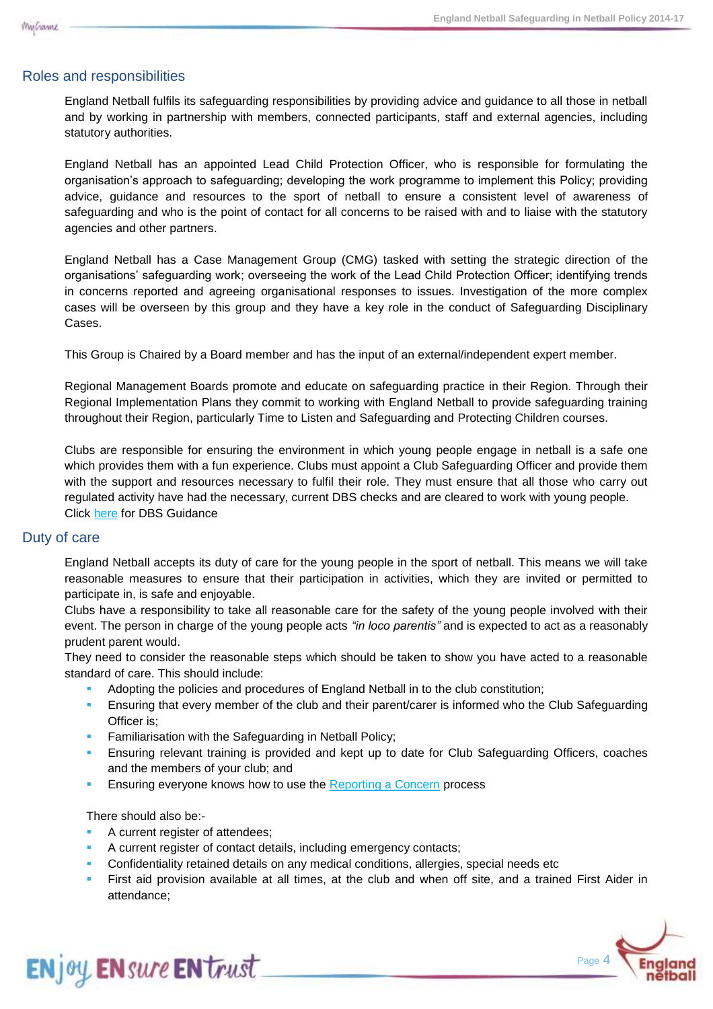# Roles and responsibilities

England Netball fulfils its safeguarding responsibilities by providing advice and guidance to all those in netball and by working in partnership with members, connected participants, staff and external agencies, including statutory authorities.

England Netball has an appointed Lead Child Protection Officer, who is responsible for formulating the organisation's approach to safeguarding; developing the work programme to implement this Policy; providing advice, guidance and resources to the sport of netball to ensure a consistent level of awareness of safeguarding and who is the point of contact for all concerns to be raised with and to liaise with the statutory agencies and other partners.

England Netball has a Case Management Group (CMG) tasked with setting the strategic direction of the organisations' safeguarding work; overseeing the work of the Lead Child Protection Officer; identifying trends in concerns reported and agreeing organisational responses to issues. Investigation of the more complex cases will be overseen by this group and they have a key role in the conduct of Safeguarding Disciplinary Cases.

This Group is Chaired by a Board member and has the input of an external/independent expert member.

Regional Management Boards promote and educate on safeguarding practice in their Region. Through their Regional Implementation Plans they commit to working with England Netball to provide safeguarding training throughout their Region, particularly Time to Listen and Safeguarding and Protecting Children courses.

Clubs are responsible for ensuring the environment in which young people engage in netball is a safe one which provides them with a fun experience. Clubs must appoint a Club Safeguarding Officer and provide them with the support and resources necessary to fulfil their role. They must ensure that all those who carry out regulated activity have had the necessary, current DBS checks and are cleared to work with young people. Click [here](http://www.englandnetball.co.uk/make-the-game/ENjoy_ENsure_ENtrust/Safeguarding/DBS) for DBS Guidance

#### Duty of care

England Netball accepts its duty of care for the young people in the sport of netball. This means we will take reasonable measures to ensure that their participation in activities, which they are invited or permitted to participate in, is safe and enjoyable.

Clubs have a responsibility to take all reasonable care for the safety of the young people involved with their event. The person in charge of the young people acts *"in loco parentis"* and is expected to act as a reasonably prudent parent would.

They need to consider the reasonable steps which should be taken to show you have acted to a reasonable standard of care. This should include:

- Adopting the policies and procedures of England Netball in to the club constitution;
- Ensuring that every member of the club and their parent/carer is informed who the Club Safeguarding Officer is;
- Familiarisation with the Safeguarding in Netball Policy;
- Ensuring relevant training is provided and kept up to date for Club Safeguarding Officers, coaches and the members of your club; and
- **Ensuring everyone knows how to use the [Reporting a Concern](Reporting%20a%20Concern%20Procedure.docx) process**

There should also be:-

ENjoy ENsure ENtrust

- A current register of attendees;
- A current register of contact details, including emergency contacts;
- Confidentiality retained details on any medical conditions, allergies, special needs etc
- First aid provision available at all times, at the club and when off site, and a trained First Aider in attendance;